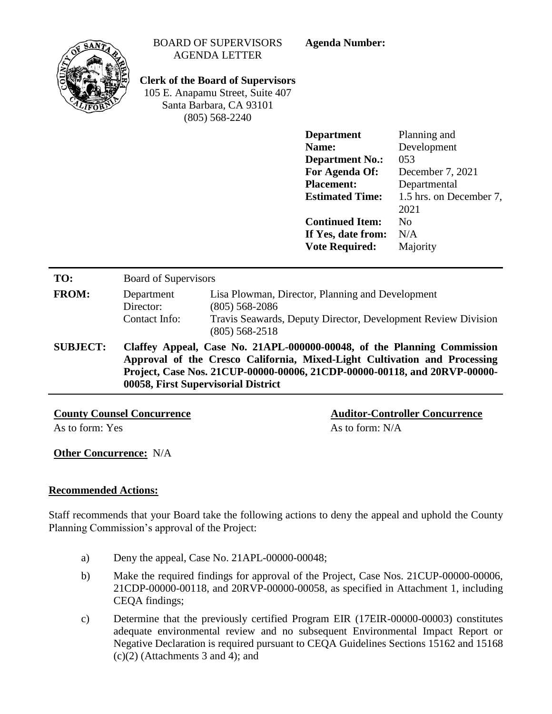| $SAN$ r         |                                          | <b>BOARD OF SUPERVISORS</b><br><b>AGENDA LETTER</b><br><b>Clerk of the Board of Supervisors</b><br>105 E. Anapamu Street, Suite 407<br>Santa Barbara, CA 93101<br>$(805)$ 568-2240                                                                                       | <b>Agenda Number:</b>                                                                                                                                                                          |                                                                                                                                                |  |
|-----------------|------------------------------------------|--------------------------------------------------------------------------------------------------------------------------------------------------------------------------------------------------------------------------------------------------------------------------|------------------------------------------------------------------------------------------------------------------------------------------------------------------------------------------------|------------------------------------------------------------------------------------------------------------------------------------------------|--|
|                 |                                          |                                                                                                                                                                                                                                                                          | <b>Department</b><br>Name:<br><b>Department No.:</b><br>For Agenda Of:<br><b>Placement:</b><br><b>Estimated Time:</b><br><b>Continued Item:</b><br>If Yes, date from:<br><b>Vote Required:</b> | Planning and<br>Development<br>053<br>December 7, 2021<br>Departmental<br>1.5 hrs. on December 7,<br>2021<br>N <sub>0</sub><br>N/A<br>Majority |  |
| TO:             | <b>Board of Supervisors</b>              |                                                                                                                                                                                                                                                                          |                                                                                                                                                                                                |                                                                                                                                                |  |
| <b>FROM:</b>    | Department<br>Director:<br>Contact Info: | Lisa Plowman, Director, Planning and Development<br>$(805)$ 568-2086<br>Travis Seawards, Deputy Director, Development Review Division<br>$(805)$ 568-2518                                                                                                                |                                                                                                                                                                                                |                                                                                                                                                |  |
| <b>SUBJECT:</b> |                                          | Claffey Appeal, Case No. 21APL-000000-00048, of the Planning Commission<br>Approval of the Cresco California, Mixed-Light Cultivation and Processing<br>Project, Case Nos. 21CUP-00000-00006, 21CDP-00000-00118, and 20RVP-00000-<br>00058, First Supervisorial District |                                                                                                                                                                                                |                                                                                                                                                |  |

**County Counsel Concurrence Auditor-Controller Concurrence**

As to form: Yes  $\overline{A}$  As to form: N/A

**Other Concurrence:** N/A

# **Recommended Actions:**

Staff recommends that your Board take the following actions to deny the appeal and uphold the County Planning Commission's approval of the Project:

- a) Deny the appeal, Case No. 21APL-00000-00048;
- b) Make the required findings for approval of the Project, Case Nos. 21CUP-00000-00006, 21CDP-00000-00118, and 20RVP-00000-00058, as specified in Attachment 1, including CEQA findings;
- c) Determine that the previously certified Program EIR (17EIR-00000-00003) constitutes adequate environmental review and no subsequent Environmental Impact Report or Negative Declaration is required pursuant to CEQA Guidelines Sections 15162 and 15168  $(c)(2)$  (Attachments 3 and 4); and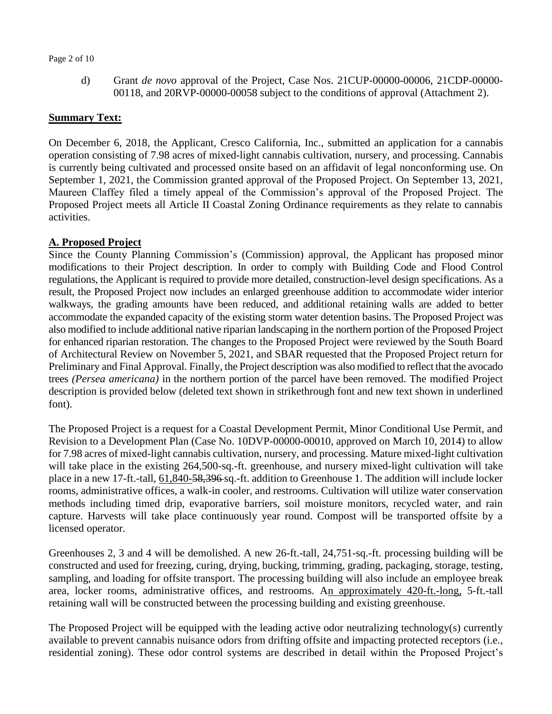### Page 2 of 10

d) Grant *de novo* approval of the Project, Case Nos. 21CUP-00000-00006, 21CDP-00000- 00118, and 20RVP-00000-00058 subject to the conditions of approval (Attachment 2).

## **Summary Text:**

On December 6, 2018, the Applicant, Cresco California, Inc., submitted an application for a cannabis operation consisting of 7.98 acres of mixed-light cannabis cultivation, nursery, and processing. Cannabis is currently being cultivated and processed onsite based on an affidavit of legal nonconforming use. On September 1, 2021, the Commission granted approval of the Proposed Project. On September 13, 2021, Maureen Claffey filed a timely appeal of the Commission's approval of the Proposed Project. The Proposed Project meets all Article II Coastal Zoning Ordinance requirements as they relate to cannabis activities.

# **A. Proposed Project**

Since the County Planning Commission's (Commission) approval, the Applicant has proposed minor modifications to their Project description. In order to comply with Building Code and Flood Control regulations, the Applicant is required to provide more detailed, construction-level design specifications. As a result, the Proposed Project now includes an enlarged greenhouse addition to accommodate wider interior walkways, the grading amounts have been reduced, and additional retaining walls are added to better accommodate the expanded capacity of the existing storm water detention basins. The Proposed Project was also modified to include additional native riparian landscaping in the northern portion of the Proposed Project for enhanced riparian restoration. The changes to the Proposed Project were reviewed by the South Board of Architectural Review on November 5, 2021, and SBAR requested that the Proposed Project return for Preliminary and Final Approval. Finally, the Project description was also modified to reflect that the avocado trees *(Persea americana)* in the northern portion of the parcel have been removed. The modified Project description is provided below (deleted text shown in strikethrough font and new text shown in underlined font).

The Proposed Project is a request for a Coastal Development Permit, Minor Conditional Use Permit, and Revision to a Development Plan (Case No. 10DVP-00000-00010, approved on March 10, 2014) to allow for 7.98 acres of mixed-light cannabis cultivation, nursery, and processing. Mature mixed-light cultivation will take place in the existing 264,500-sq.-ft. greenhouse, and nursery mixed-light cultivation will take place in a new 17-ft.-tall, 61,840-58,396 sq.-ft. addition to Greenhouse 1. The addition will include locker rooms, administrative offices, a walk-in cooler, and restrooms. Cultivation will utilize water conservation methods including timed drip, evaporative barriers, soil moisture monitors, recycled water, and rain capture. Harvests will take place continuously year round. Compost will be transported offsite by a licensed operator.

Greenhouses 2, 3 and 4 will be demolished. A new 26-ft.-tall, 24,751-sq.-ft. processing building will be constructed and used for freezing, curing, drying, bucking, trimming, grading, packaging, storage, testing, sampling, and loading for offsite transport. The processing building will also include an employee break area, locker rooms, administrative offices, and restrooms. An approximately 420-ft.-long, 5-ft.-tall retaining wall will be constructed between the processing building and existing greenhouse.

The Proposed Project will be equipped with the leading active odor neutralizing technology(s) currently available to prevent cannabis nuisance odors from drifting offsite and impacting protected receptors (i.e., residential zoning). These odor control systems are described in detail within the Proposed Project's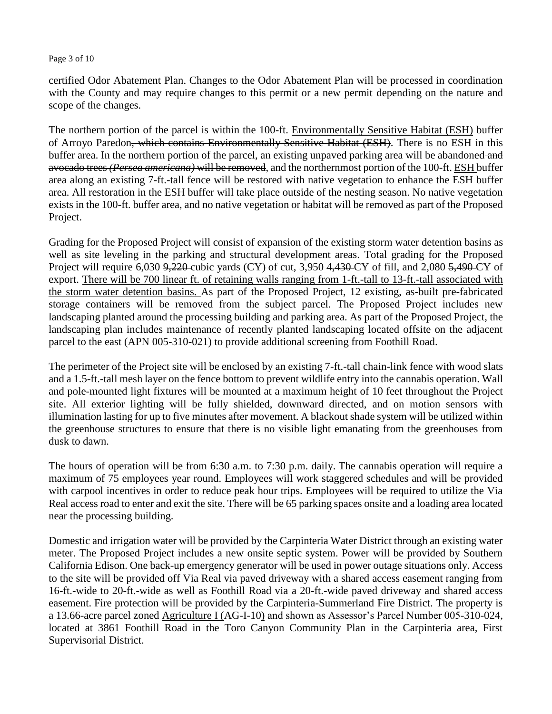### Page 3 of 10

certified Odor Abatement Plan. Changes to the Odor Abatement Plan will be processed in coordination with the County and may require changes to this permit or a new permit depending on the nature and scope of the changes.

The northern portion of the parcel is within the 100-ft. Environmentally Sensitive Habitat (ESH) buffer of Arroyo Paredon, which contains Environmentally Sensitive Habitat (ESH). There is no ESH in this buffer area. In the northern portion of the parcel, an existing unpaved parking area will be abandoned and avocado trees *(Persea americana)* will be removed, and the northernmost portion of the 100-ft. ESH buffer area along an existing 7-ft.-tall fence will be restored with native vegetation to enhance the ESH buffer area. All restoration in the ESH buffer will take place outside of the nesting season. No native vegetation exists in the 100-ft. buffer area, and no native vegetation or habitat will be removed as part of the Proposed Project.

Grading for the Proposed Project will consist of expansion of the existing storm water detention basins as well as site leveling in the parking and structural development areas. Total grading for the Proposed Project will require 6,030 9,220 cubic yards (CY) of cut, 3,950 4,430 CY of fill, and 2,080 5,490 CY of export. There will be 700 linear ft. of retaining walls ranging from 1-ft.-tall to 13-ft.-tall associated with the storm water detention basins. As part of the Proposed Project, 12 existing, as-built pre-fabricated storage containers will be removed from the subject parcel. The Proposed Project includes new landscaping planted around the processing building and parking area. As part of the Proposed Project, the landscaping plan includes maintenance of recently planted landscaping located offsite on the adjacent parcel to the east (APN 005-310-021) to provide additional screening from Foothill Road.

The perimeter of the Project site will be enclosed by an existing 7-ft.-tall chain-link fence with wood slats and a 1.5-ft.-tall mesh layer on the fence bottom to prevent wildlife entry into the cannabis operation. Wall and pole-mounted light fixtures will be mounted at a maximum height of 10 feet throughout the Project site. All exterior lighting will be fully shielded, downward directed, and on motion sensors with illumination lasting for up to five minutes after movement. A blackout shade system will be utilized within the greenhouse structures to ensure that there is no visible light emanating from the greenhouses from dusk to dawn.

The hours of operation will be from 6:30 a.m. to 7:30 p.m. daily. The cannabis operation will require a maximum of 75 employees year round. Employees will work staggered schedules and will be provided with carpool incentives in order to reduce peak hour trips. Employees will be required to utilize the Via Real access road to enter and exit the site. There will be 65 parking spaces onsite and a loading area located near the processing building.

Domestic and irrigation water will be provided by the Carpinteria Water District through an existing water meter. The Proposed Project includes a new onsite septic system. Power will be provided by Southern California Edison. One back-up emergency generator will be used in power outage situations only. Access to the site will be provided off Via Real via paved driveway with a shared access easement ranging from 16-ft.-wide to 20-ft.-wide as well as Foothill Road via a 20-ft.-wide paved driveway and shared access easement. Fire protection will be provided by the Carpinteria-Summerland Fire District. The property is a 13.66-acre parcel zoned Agriculture I (AG-I-10) and shown as Assessor's Parcel Number 005-310-024, located at 3861 Foothill Road in the Toro Canyon Community Plan in the Carpinteria area, First Supervisorial District.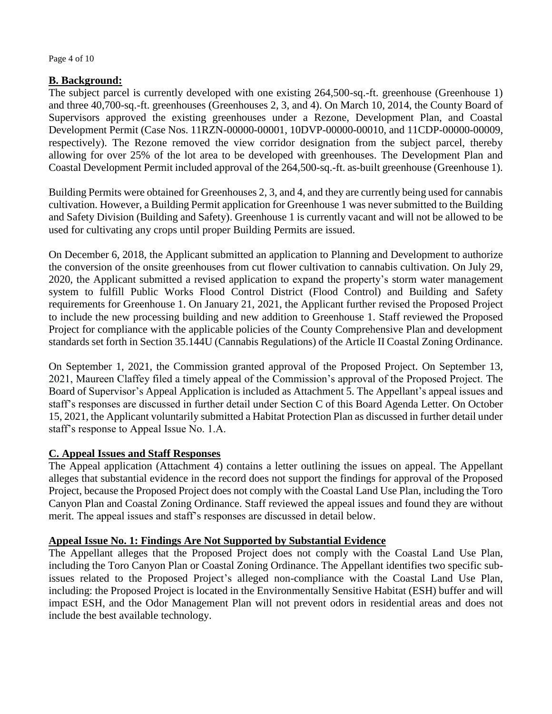Page 4 of 10

# **B. Background:**

The subject parcel is currently developed with one existing 264,500-sq.-ft. greenhouse (Greenhouse 1) and three 40,700-sq.-ft. greenhouses (Greenhouses 2, 3, and 4). On March 10, 2014, the County Board of Supervisors approved the existing greenhouses under a Rezone, Development Plan, and Coastal Development Permit (Case Nos. 11RZN-00000-00001, 10DVP-00000-00010, and 11CDP-00000-00009, respectively). The Rezone removed the view corridor designation from the subject parcel, thereby allowing for over 25% of the lot area to be developed with greenhouses. The Development Plan and Coastal Development Permit included approval of the 264,500-sq.-ft. as-built greenhouse (Greenhouse 1).

Building Permits were obtained for Greenhouses 2, 3, and 4, and they are currently being used for cannabis cultivation. However, a Building Permit application for Greenhouse 1 was never submitted to the Building and Safety Division (Building and Safety). Greenhouse 1 is currently vacant and will not be allowed to be used for cultivating any crops until proper Building Permits are issued.

On December 6, 2018, the Applicant submitted an application to Planning and Development to authorize the conversion of the onsite greenhouses from cut flower cultivation to cannabis cultivation. On July 29, 2020, the Applicant submitted a revised application to expand the property's storm water management system to fulfill Public Works Flood Control District (Flood Control) and Building and Safety requirements for Greenhouse 1. On January 21, 2021, the Applicant further revised the Proposed Project to include the new processing building and new addition to Greenhouse 1. Staff reviewed the Proposed Project for compliance with the applicable policies of the County Comprehensive Plan and development standards set forth in Section 35.144U (Cannabis Regulations) of the Article II Coastal Zoning Ordinance.

On September 1, 2021, the Commission granted approval of the Proposed Project. On September 13, 2021, Maureen Claffey filed a timely appeal of the Commission's approval of the Proposed Project. The Board of Supervisor's Appeal Application is included as Attachment 5. The Appellant's appeal issues and staff's responses are discussed in further detail under Section C of this Board Agenda Letter. On October 15, 2021, the Applicant voluntarily submitted a Habitat Protection Plan as discussed in further detail under staff's response to Appeal Issue No. 1.A.

# **C. Appeal Issues and Staff Responses**

The Appeal application (Attachment 4) contains a letter outlining the issues on appeal. The Appellant alleges that substantial evidence in the record does not support the findings for approval of the Proposed Project, because the Proposed Project does not comply with the Coastal Land Use Plan, including the Toro Canyon Plan and Coastal Zoning Ordinance. Staff reviewed the appeal issues and found they are without merit. The appeal issues and staff's responses are discussed in detail below.

## **Appeal Issue No. 1: Findings Are Not Supported by Substantial Evidence**

The Appellant alleges that the Proposed Project does not comply with the Coastal Land Use Plan, including the Toro Canyon Plan or Coastal Zoning Ordinance. The Appellant identifies two specific subissues related to the Proposed Project's alleged non-compliance with the Coastal Land Use Plan, including: the Proposed Project is located in the Environmentally Sensitive Habitat (ESH) buffer and will impact ESH, and the Odor Management Plan will not prevent odors in residential areas and does not include the best available technology.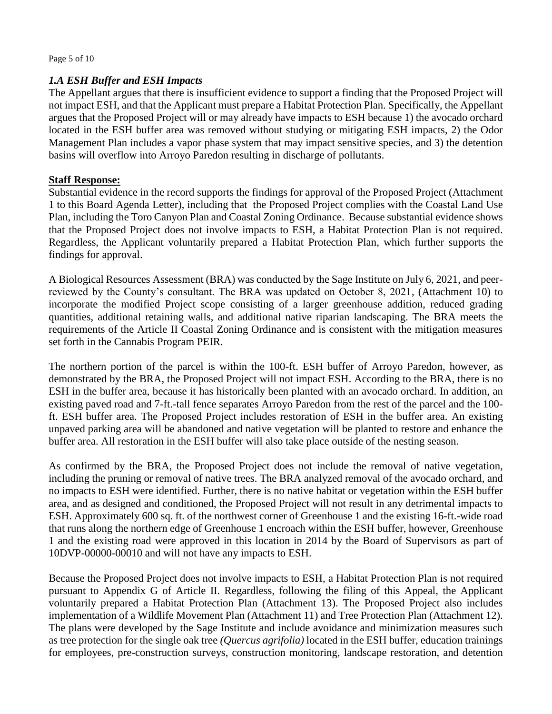### Page 5 of 10

## *1.A ESH Buffer and ESH Impacts*

The Appellant argues that there is insufficient evidence to support a finding that the Proposed Project will not impact ESH, and that the Applicant must prepare a Habitat Protection Plan. Specifically, the Appellant argues that the Proposed Project will or may already have impacts to ESH because 1) the avocado orchard located in the ESH buffer area was removed without studying or mitigating ESH impacts, 2) the Odor Management Plan includes a vapor phase system that may impact sensitive species, and 3) the detention basins will overflow into Arroyo Paredon resulting in discharge of pollutants.

### **Staff Response:**

Substantial evidence in the record supports the findings for approval of the Proposed Project (Attachment 1 to this Board Agenda Letter), including that the Proposed Project complies with the Coastal Land Use Plan, including the Toro Canyon Plan and Coastal Zoning Ordinance. Because substantial evidence shows that the Proposed Project does not involve impacts to ESH, a Habitat Protection Plan is not required. Regardless, the Applicant voluntarily prepared a Habitat Protection Plan, which further supports the findings for approval.

A Biological Resources Assessment (BRA) was conducted by the Sage Institute on July 6, 2021, and peerreviewed by the County's consultant. The BRA was updated on October 8, 2021, (Attachment 10) to incorporate the modified Project scope consisting of a larger greenhouse addition, reduced grading quantities, additional retaining walls, and additional native riparian landscaping. The BRA meets the requirements of the Article II Coastal Zoning Ordinance and is consistent with the mitigation measures set forth in the Cannabis Program PEIR.

The northern portion of the parcel is within the 100-ft. ESH buffer of Arroyo Paredon, however, as demonstrated by the BRA, the Proposed Project will not impact ESH. According to the BRA, there is no ESH in the buffer area, because it has historically been planted with an avocado orchard. In addition, an existing paved road and 7-ft.-tall fence separates Arroyo Paredon from the rest of the parcel and the 100 ft. ESH buffer area. The Proposed Project includes restoration of ESH in the buffer area. An existing unpaved parking area will be abandoned and native vegetation will be planted to restore and enhance the buffer area. All restoration in the ESH buffer will also take place outside of the nesting season.

As confirmed by the BRA, the Proposed Project does not include the removal of native vegetation, including the pruning or removal of native trees. The BRA analyzed removal of the avocado orchard, and no impacts to ESH were identified. Further, there is no native habitat or vegetation within the ESH buffer area, and as designed and conditioned, the Proposed Project will not result in any detrimental impacts to ESH. Approximately 600 sq. ft. of the northwest corner of Greenhouse 1 and the existing 16-ft.-wide road that runs along the northern edge of Greenhouse 1 encroach within the ESH buffer, however, Greenhouse 1 and the existing road were approved in this location in 2014 by the Board of Supervisors as part of 10DVP-00000-00010 and will not have any impacts to ESH.

Because the Proposed Project does not involve impacts to ESH, a Habitat Protection Plan is not required pursuant to Appendix G of Article II. Regardless, following the filing of this Appeal, the Applicant voluntarily prepared a Habitat Protection Plan (Attachment 13). The Proposed Project also includes implementation of a Wildlife Movement Plan (Attachment 11) and Tree Protection Plan (Attachment 12). The plans were developed by the Sage Institute and include avoidance and minimization measures such as tree protection for the single oak tree *(Quercus agrifolia)* located in the ESH buffer, education trainings for employees, pre-construction surveys, construction monitoring, landscape restoration, and detention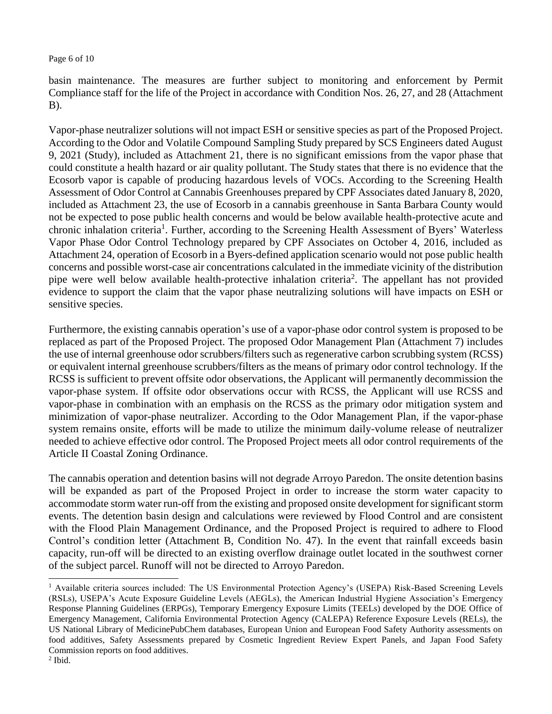### Page 6 of 10

basin maintenance. The measures are further subject to monitoring and enforcement by Permit Compliance staff for the life of the Project in accordance with Condition Nos. 26, 27, and 28 (Attachment B).

Vapor-phase neutralizer solutions will not impact ESH or sensitive species as part of the Proposed Project. According to the Odor and Volatile Compound Sampling Study prepared by SCS Engineers dated August 9, 2021 (Study), included as Attachment 21, there is no significant emissions from the vapor phase that could constitute a health hazard or air quality pollutant. The Study states that there is no evidence that the Ecosorb vapor is capable of producing hazardous levels of VOCs. According to the Screening Health Assessment of Odor Control at Cannabis Greenhouses prepared by CPF Associates dated January 8, 2020, included as Attachment 23, the use of Ecosorb in a cannabis greenhouse in Santa Barbara County would not be expected to pose public health concerns and would be below available health-protective acute and chronic inhalation criteria<sup>1</sup>. Further, according to the Screening Health Assessment of Byers' Waterless Vapor Phase Odor Control Technology prepared by CPF Associates on October 4, 2016, included as Attachment 24, operation of Ecosorb in a Byers-defined application scenario would not pose public health concerns and possible worst-case air concentrations calculated in the immediate vicinity of the distribution pipe were well below available health-protective inhalation criteria<sup>2</sup>. The appellant has not provided evidence to support the claim that the vapor phase neutralizing solutions will have impacts on ESH or sensitive species.

Furthermore, the existing cannabis operation's use of a vapor-phase odor control system is proposed to be replaced as part of the Proposed Project. The proposed Odor Management Plan (Attachment 7) includes the use of internal greenhouse odor scrubbers/filters such as regenerative carbon scrubbing system (RCSS) or equivalent internal greenhouse scrubbers/filters as the means of primary odor control technology. If the RCSS is sufficient to prevent offsite odor observations, the Applicant will permanently decommission the vapor-phase system. If offsite odor observations occur with RCSS, the Applicant will use RCSS and vapor-phase in combination with an emphasis on the RCSS as the primary odor mitigation system and minimization of vapor-phase neutralizer. According to the Odor Management Plan, if the vapor-phase system remains onsite, efforts will be made to utilize the minimum daily-volume release of neutralizer needed to achieve effective odor control. The Proposed Project meets all odor control requirements of the Article II Coastal Zoning Ordinance.

The cannabis operation and detention basins will not degrade Arroyo Paredon. The onsite detention basins will be expanded as part of the Proposed Project in order to increase the storm water capacity to accommodate storm water run-off from the existing and proposed onsite development for significant storm events. The detention basin design and calculations were reviewed by Flood Control and are consistent with the Flood Plain Management Ordinance, and the Proposed Project is required to adhere to Flood Control's condition letter (Attachment B, Condition No. 47). In the event that rainfall exceeds basin capacity, run-off will be directed to an existing overflow drainage outlet located in the southwest corner of the subject parcel. Runoff will not be directed to Arroyo Paredon.

 $\overline{a}$ 

<sup>&</sup>lt;sup>1</sup> Available criteria sources included: The US Environmental Protection Agency's (USEPA) Risk-Based Screening Levels (RSLs), USEPA's Acute Exposure Guideline Levels (AEGLs), the American Industrial Hygiene Association's Emergency Response Planning Guidelines (ERPGs), Temporary Emergency Exposure Limits (TEELs) developed by the DOE Office of Emergency Management, California Environmental Protection Agency (CALEPA) Reference Exposure Levels (RELs), the US National Library of MedicinePubChem databases, European Union and European Food Safety Authority assessments on food additives, Safety Assessments prepared by Cosmetic Ingredient Review Expert Panels, and Japan Food Safety Commission reports on food additives.

 $<sup>2</sup>$  Ibid.</sup>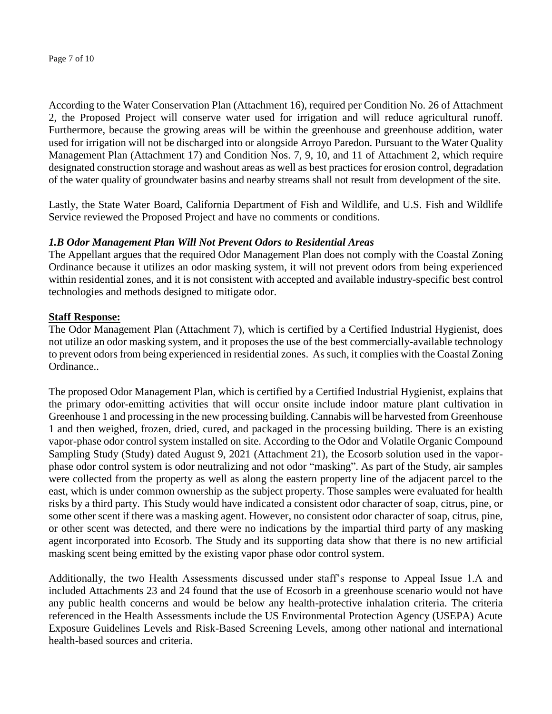According to the Water Conservation Plan (Attachment 16), required per Condition No. 26 of Attachment 2, the Proposed Project will conserve water used for irrigation and will reduce agricultural runoff. Furthermore, because the growing areas will be within the greenhouse and greenhouse addition, water used for irrigation will not be discharged into or alongside Arroyo Paredon. Pursuant to the Water Quality Management Plan (Attachment 17) and Condition Nos. 7, 9, 10, and 11 of Attachment 2, which require designated construction storage and washout areas as well as best practices for erosion control, degradation of the water quality of groundwater basins and nearby streams shall not result from development of the site.

Lastly, the State Water Board, California Department of Fish and Wildlife, and U.S. Fish and Wildlife Service reviewed the Proposed Project and have no comments or conditions.

# *1.B Odor Management Plan Will Not Prevent Odors to Residential Areas*

The Appellant argues that the required Odor Management Plan does not comply with the Coastal Zoning Ordinance because it utilizes an odor masking system, it will not prevent odors from being experienced within residential zones, and it is not consistent with accepted and available industry-specific best control technologies and methods designed to mitigate odor.

# **Staff Response:**

The Odor Management Plan (Attachment 7), which is certified by a Certified Industrial Hygienist, does not utilize an odor masking system, and it proposes the use of the best commercially-available technology to prevent odors from being experienced in residential zones. As such, it complies with the Coastal Zoning Ordinance..

The proposed Odor Management Plan, which is certified by a Certified Industrial Hygienist, explains that the primary odor-emitting activities that will occur onsite include indoor mature plant cultivation in Greenhouse 1 and processing in the new processing building. Cannabis will be harvested from Greenhouse 1 and then weighed, frozen, dried, cured, and packaged in the processing building. There is an existing vapor-phase odor control system installed on site. According to the Odor and Volatile Organic Compound Sampling Study (Study) dated August 9, 2021 (Attachment 21), the Ecosorb solution used in the vaporphase odor control system is odor neutralizing and not odor "masking". As part of the Study, air samples were collected from the property as well as along the eastern property line of the adjacent parcel to the east, which is under common ownership as the subject property. Those samples were evaluated for health risks by a third party. This Study would have indicated a consistent odor character of soap, citrus, pine, or some other scent if there was a masking agent. However, no consistent odor character of soap, citrus, pine, or other scent was detected, and there were no indications by the impartial third party of any masking agent incorporated into Ecosorb. The Study and its supporting data show that there is no new artificial masking scent being emitted by the existing vapor phase odor control system.

Additionally, the two Health Assessments discussed under staff's response to Appeal Issue 1.A and included Attachments 23 and 24 found that the use of Ecosorb in a greenhouse scenario would not have any public health concerns and would be below any health-protective inhalation criteria. The criteria referenced in the Health Assessments include the US Environmental Protection Agency (USEPA) Acute Exposure Guidelines Levels and Risk-Based Screening Levels, among other national and international health-based sources and criteria.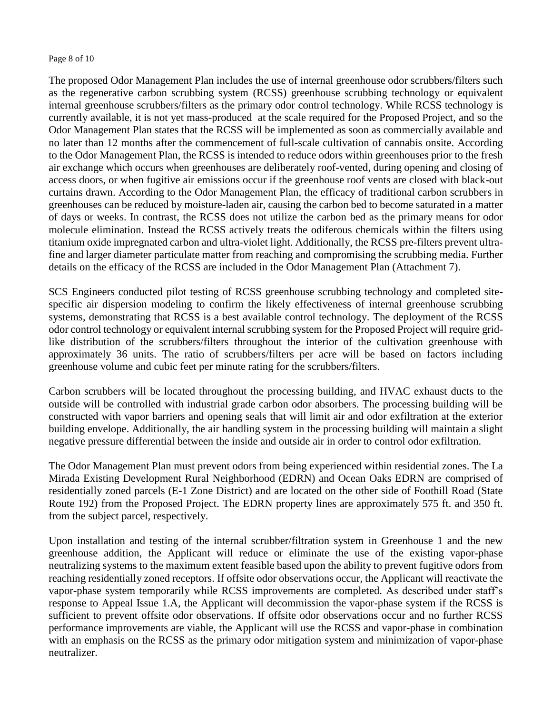#### Page 8 of 10

The proposed Odor Management Plan includes the use of internal greenhouse odor scrubbers/filters such as the regenerative carbon scrubbing system (RCSS) greenhouse scrubbing technology or equivalent internal greenhouse scrubbers/filters as the primary odor control technology. While RCSS technology is currently available, it is not yet mass-produced at the scale required for the Proposed Project, and so the Odor Management Plan states that the RCSS will be implemented as soon as commercially available and no later than 12 months after the commencement of full-scale cultivation of cannabis onsite. According to the Odor Management Plan, the RCSS is intended to reduce odors within greenhouses prior to the fresh air exchange which occurs when greenhouses are deliberately roof-vented, during opening and closing of access doors, or when fugitive air emissions occur if the greenhouse roof vents are closed with black-out curtains drawn. According to the Odor Management Plan, the efficacy of traditional carbon scrubbers in greenhouses can be reduced by moisture-laden air, causing the carbon bed to become saturated in a matter of days or weeks. In contrast, the RCSS does not utilize the carbon bed as the primary means for odor molecule elimination. Instead the RCSS actively treats the odiferous chemicals within the filters using titanium oxide impregnated carbon and ultra-violet light. Additionally, the RCSS pre-filters prevent ultrafine and larger diameter particulate matter from reaching and compromising the scrubbing media. Further details on the efficacy of the RCSS are included in the Odor Management Plan (Attachment 7).

SCS Engineers conducted pilot testing of RCSS greenhouse scrubbing technology and completed sitespecific air dispersion modeling to confirm the likely effectiveness of internal greenhouse scrubbing systems, demonstrating that RCSS is a best available control technology. The deployment of the RCSS odor control technology or equivalent internal scrubbing system for the Proposed Project will require gridlike distribution of the scrubbers/filters throughout the interior of the cultivation greenhouse with approximately 36 units. The ratio of scrubbers/filters per acre will be based on factors including greenhouse volume and cubic feet per minute rating for the scrubbers/filters.

Carbon scrubbers will be located throughout the processing building, and HVAC exhaust ducts to the outside will be controlled with industrial grade carbon odor absorbers. The processing building will be constructed with vapor barriers and opening seals that will limit air and odor exfiltration at the exterior building envelope. Additionally, the air handling system in the processing building will maintain a slight negative pressure differential between the inside and outside air in order to control odor exfiltration.

The Odor Management Plan must prevent odors from being experienced within residential zones. The La Mirada Existing Development Rural Neighborhood (EDRN) and Ocean Oaks EDRN are comprised of residentially zoned parcels (E-1 Zone District) and are located on the other side of Foothill Road (State Route 192) from the Proposed Project. The EDRN property lines are approximately 575 ft. and 350 ft. from the subject parcel, respectively.

Upon installation and testing of the internal scrubber/filtration system in Greenhouse 1 and the new greenhouse addition, the Applicant will reduce or eliminate the use of the existing vapor-phase neutralizing systems to the maximum extent feasible based upon the ability to prevent fugitive odors from reaching residentially zoned receptors. If offsite odor observations occur, the Applicant will reactivate the vapor-phase system temporarily while RCSS improvements are completed. As described under staff's response to Appeal Issue 1.A, the Applicant will decommission the vapor-phase system if the RCSS is sufficient to prevent offsite odor observations. If offsite odor observations occur and no further RCSS performance improvements are viable, the Applicant will use the RCSS and vapor-phase in combination with an emphasis on the RCSS as the primary odor mitigation system and minimization of vapor-phase neutralizer.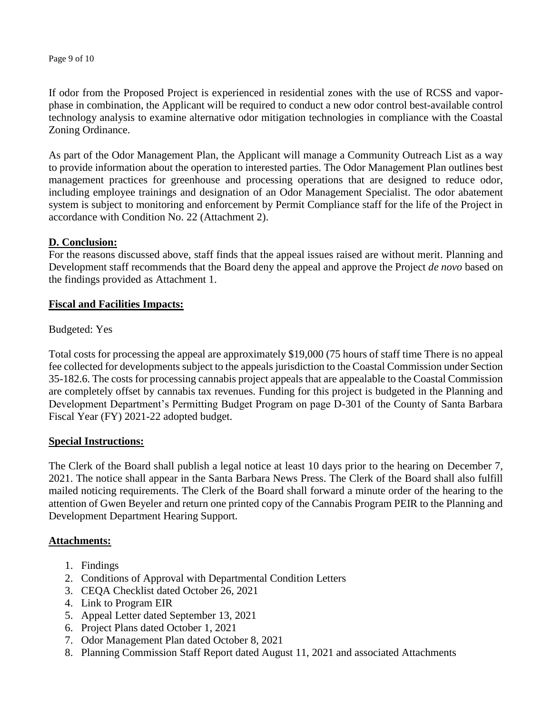Page 9 of 10

If odor from the Proposed Project is experienced in residential zones with the use of RCSS and vaporphase in combination, the Applicant will be required to conduct a new odor control best-available control technology analysis to examine alternative odor mitigation technologies in compliance with the Coastal Zoning Ordinance.

As part of the Odor Management Plan, the Applicant will manage a Community Outreach List as a way to provide information about the operation to interested parties. The Odor Management Plan outlines best management practices for greenhouse and processing operations that are designed to reduce odor, including employee trainings and designation of an Odor Management Specialist. The odor abatement system is subject to monitoring and enforcement by Permit Compliance staff for the life of the Project in accordance with Condition No. 22 (Attachment 2).

## **D. Conclusion:**

For the reasons discussed above, staff finds that the appeal issues raised are without merit. Planning and Development staff recommends that the Board deny the appeal and approve the Project *de novo* based on the findings provided as Attachment 1.

## **Fiscal and Facilities Impacts:**

Budgeted: Yes

Total costs for processing the appeal are approximately \$19,000 (75 hours of staff time There is no appeal fee collected for developments subject to the appeals jurisdiction to the Coastal Commission under Section 35-182.6. The costs for processing cannabis project appeals that are appealable to the Coastal Commission are completely offset by cannabis tax revenues. Funding for this project is budgeted in the Planning and Development Department's Permitting Budget Program on page D-301 of the County of Santa Barbara Fiscal Year (FY) 2021-22 adopted budget.

## **Special Instructions:**

The Clerk of the Board shall publish a legal notice at least 10 days prior to the hearing on December 7, 2021. The notice shall appear in the Santa Barbara News Press. The Clerk of the Board shall also fulfill mailed noticing requirements. The Clerk of the Board shall forward a minute order of the hearing to the attention of Gwen Beyeler and return one printed copy of the Cannabis Program PEIR to the Planning and Development Department Hearing Support.

## **Attachments:**

- 1. Findings
- 2. Conditions of Approval with Departmental Condition Letters
- 3. CEQA Checklist dated October 26, 2021
- 4. Link to Program EIR
- 5. Appeal Letter dated September 13, 2021
- 6. Project Plans dated October 1, 2021
- 7. Odor Management Plan dated October 8, 2021
- 8. Planning Commission Staff Report dated August 11, 2021 and associated Attachments